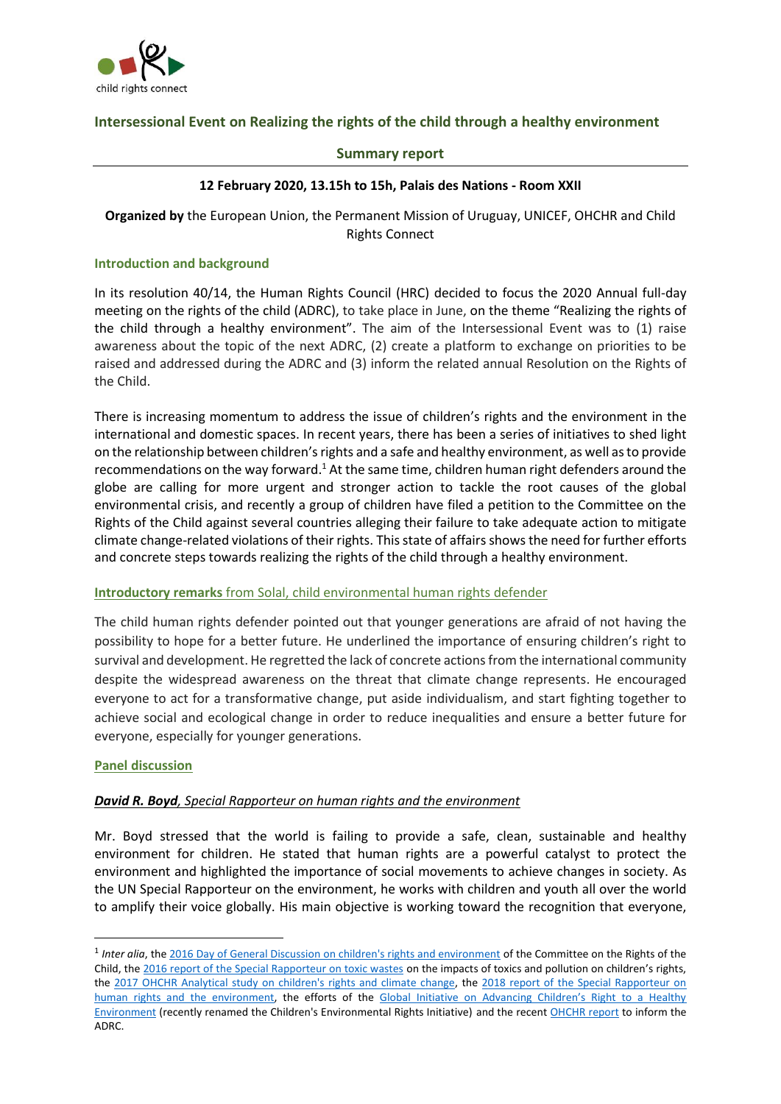

# **Intersessional Event on Realizing the rights of the child through a healthy environment**

#### **Summary report**

#### **12 February 2020, 13.15h to 15h, Palais des Nations - Room XXII**

**Organized by** the European Union, the Permanent Mission of Uruguay, UNICEF, OHCHR and Child Rights Connect

#### **Introduction and background**

In its resolution 40/14, the Human Rights Council (HRC) decided to focus the 2020 Annual full-day meeting on the rights of the child (ADRC), to take place in June, on the theme "Realizing the rights of the child through a healthy environment". The aim of the Intersessional Event was to (1) raise awareness about the topic of the next ADRC, (2) create a platform to exchange on priorities to be raised and addressed during the ADRC and (3) inform the related annual Resolution on the Rights of the Child.

There is increasing momentum to address the issue of children's rights and the environment in the international and domestic spaces. In recent years, there has been a series of initiatives to shed light on the relationship between children's rights and a safe and healthy environment, as well as to provide recommendations on the way forward.<sup>1</sup> At the same time, children human right defenders around the globe are calling for more urgent and stronger action to tackle the root causes of the global environmental crisis, and recently a group of children have filed a petition to the Committee on the Rights of the Child against several countries alleging their failure to take adequate action to mitigate climate change-related violations of their rights. This state of affairs shows the need for further efforts and concrete steps towards realizing the rights of the child through a healthy environment.

#### **Introductory remarks** from Solal, child environmental human rights defender

The child human rights defender pointed out that younger generations are afraid of not having the possibility to hope for a better future. He underlined the importance of ensuring children's right to survival and development. He regretted the lack of concrete actions from the international community despite the widespread awareness on the threat that climate change represents. He encouraged everyone to act for a transformative change, put aside individualism, and start fighting together to achieve social and ecological change in order to reduce inequalities and ensure a better future for everyone, especially for younger generations.

### **Panel discussion**

### *David R. Boyd, Special Rapporteur on human rights and the environment*

Mr. Boyd stressed that the world is failing to provide a safe, clean, sustainable and healthy environment for children. He stated that human rights are a powerful catalyst to protect the environment and highlighted the importance of social movements to achieve changes in society. As the UN Special Rapporteur on the environment, he works with children and youth all over the world to amplify their voice globally. His main objective is working toward the recognition that everyone,

<sup>&</sup>lt;sup>1</sup> Inter alia, th[e 2016 Day of General Discussion on children's rights and environment](https://www.ohchr.org/Documents/HRBodies/CRC/Discussions/2016/DGDoutcomereport-May2017.pdf) of the Committee on the Rights of the Child, the [2016 report of the Special Rapporteur on toxic wastes](https://documents-dds-ny.un.org/doc/UNDOC/GEN/G16/169/26/PDF/G1616926.pdf?OpenElement) on the impacts of toxics and pollution on children's rights, the [2017 OHCHR Analytical study on children's rights and climate change,](https://documents-dds-ny.un.org/doc/UNDOC/GEN/G17/110/91/PDF/G1711091.pdf?OpenElement) the 2018 report of the Special Rapporteur on [human rights and the environment,](https://documents-dds-ny.un.org/doc/UNDOC/GEN/G18/017/29/PDF/G1801729.pdf?OpenElement) the efforts of the Global Initiative on Advancing Children's Right to a Healthy [Environment](https://www.childrenvironment.org/) (recently renamed the Children's Environmental Rights Initiative) and the recen[t OHCHR report](https://undocs.org/en/A/HRC/43/30) to inform the ADRC.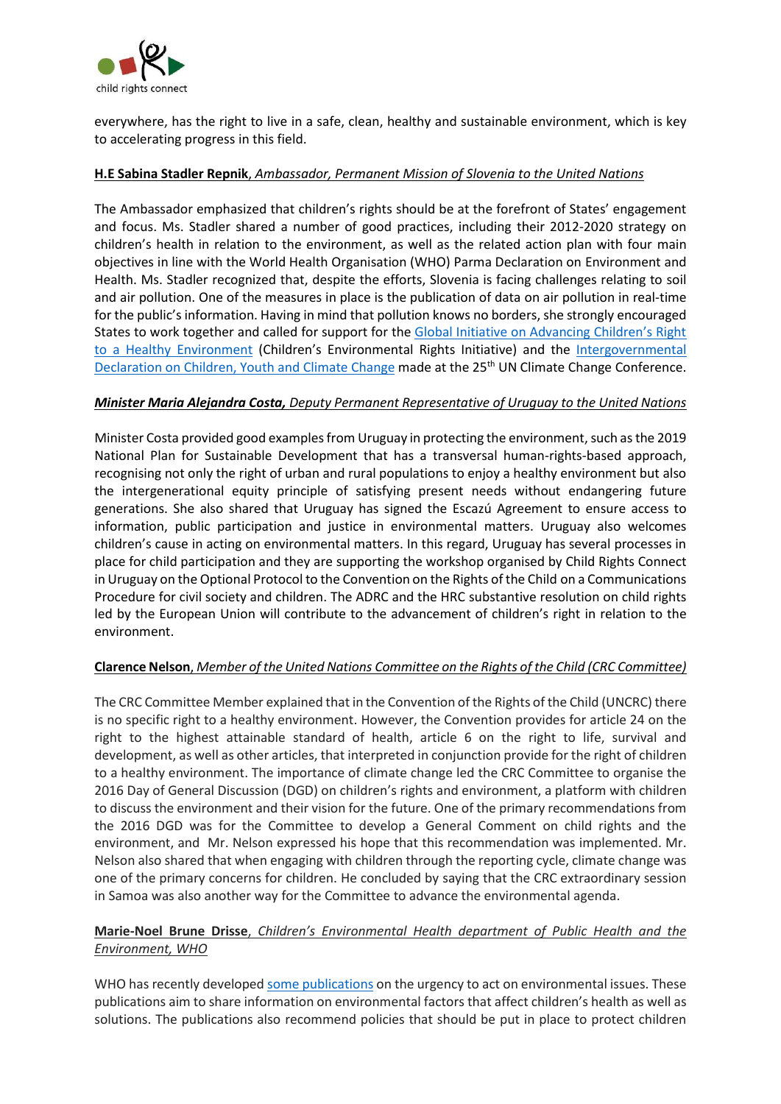

everywhere, has the right to live in a safe, clean, healthy and sustainable environment, which is key to accelerating progress in this field.

### **H.E Sabina Stadler Repnik**, *Ambassador, Permanent Mission of Slovenia to the United Nations*

The Ambassador emphasized that children's rights should be at the forefront of States' engagement and focus. Ms. Stadler shared a number of good practices, including their 2012-2020 strategy on children's health in relation to the environment, as well as the related action plan with four main objectives in line with the World Health Organisation (WHO) Parma Declaration on Environment and Health. Ms. Stadler recognized that, despite the efforts, Slovenia is facing challenges relating to soil and air pollution. One of the measures in place is the publication of data on air pollution in real-time for the public's information. Having in mind that pollution knows no borders, she strongly encouraged States to work together and called for support for the [Global Initiative on Advancing Children's Right](https://www.childrenvironment.org/)  [to a Healthy Environment](https://www.childrenvironment.org/) (Children's Environmental Rights Initiative) and the Intergovernmental [Declaration on Children, Youth and Climate Change](https://www.voicesofyouth.org/campaign/cop25-join-declaration-children-youth-and-climate-action) made at the 25<sup>th</sup> UN Climate Change Conference.

### *Minister Maria Alejandra Costa, Deputy Permanent Representative of Uruguay to the United Nations*

Minister Costa provided good examples from Uruguay in protecting the environment, such as the 2019 National Plan for Sustainable Development that has a transversal human-rights-based approach, recognising not only the right of urban and rural populations to enjoy a healthy environment but also the intergenerational equity principle of satisfying present needs without endangering future generations. She also shared that Uruguay has signed the Escazú Agreement to ensure access to information, public participation and justice in environmental matters. Uruguay also welcomes children's cause in acting on environmental matters. In this regard, Uruguay has several processes in place for child participation and they are supporting the workshop organised by Child Rights Connect in Uruguay on the Optional Protocol to the Convention on the Rights of the Child on a Communications Procedure for civil society and children. The ADRC and the HRC substantive resolution on child rights led by the European Union will contribute to the advancement of children's right in relation to the environment.

### **Clarence Nelson**, *Member of the United Nations Committee on the Rights of the Child (CRC Committee)*

The CRC Committee Member explained that in the Convention of the Rights of the Child (UNCRC) there is no specific right to a healthy environment. However, the Convention provides for article 24 on the right to the highest attainable standard of health, article 6 on the right to life, survival and development, as well as other articles, that interpreted in conjunction provide for the right of children to a healthy environment. The importance of climate change led the CRC Committee to organise the 2016 Day of General Discussion (DGD) on children's rights and environment, a platform with children to discuss the environment and their vision for the future. One of the primary recommendations from the 2016 DGD was for the Committee to develop a General Comment on child rights and the environment, and Mr. Nelson expressed his hope that this recommendation was implemented. Mr. Nelson also shared that when engaging with children through the reporting cycle, climate change was one of the primary concerns for children. He concluded by saying that the CRC extraordinary session in Samoa was also another way for the Committee to advance the environmental agenda.

# **Marie-Noel Brune Drisse**, *Children's Environmental Health department of Public Health and the Environment, WHO*

WHO has recently develope[d some publications](https://www.who.int/health-topics/children-s-environmental-health#tab=tab_1) on the urgency to act on environmental issues. These publications aim to share information on environmental factors that affect children's health as well as solutions. The publications also recommend policies that should be put in place to protect children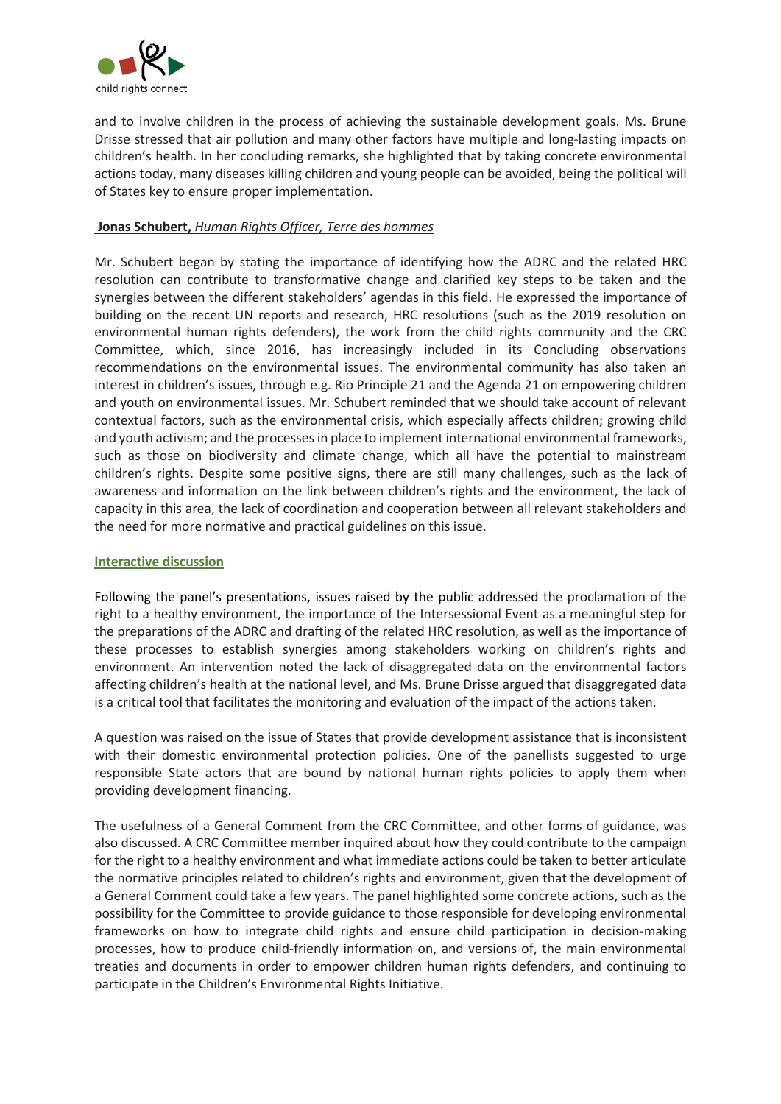

and to involve children in the process of achieving the sustainable development goals. Ms. Brune Drisse stressed that air pollution and many other factors have multiple and long-lasting impacts on children's health. In her concluding remarks, she highlighted that by taking concrete environmental actions today, many diseases killing children and young people can be avoided, being the political will of States key to ensure proper implementation.

## **Jonas Schubert,** *Human Rights Officer, Terre des hommes*

Mr. Schubert began by stating the importance of identifying how the ADRC and the related HRC resolution can contribute to transformative change and clarified key steps to be taken and the synergies between the different stakeholders' agendas in this field. He expressed the importance of building on the recent UN reports and research, HRC resolutions (such as the 2019 resolution on environmental human rights defenders), the work from the child rights community and the CRC Committee, which, since 2016, has increasingly included in its Concluding observations recommendations on the environmental issues. The environmental community has also taken an interest in children's issues, through e.g. Rio Principle 21 and the Agenda 21 on empowering children and youth on environmental issues. Mr. Schubert reminded that we should take account of relevant contextual factors, such as the environmental crisis, which especially affects children; growing child and youth activism; and the processes in place to implement international environmental frameworks, such as those on biodiversity and climate change, which all have the potential to mainstream children's rights. Despite some positive signs, there are still many challenges, such as the lack of awareness and information on the link between children's rights and the environment, the lack of capacity in this area, the lack of coordination and cooperation between all relevant stakeholders and the need for more normative and practical guidelines on this issue.

### **Interactive discussion**

Following the panel's presentations, issues raised by the public addressed the proclamation of the right to a healthy environment, the importance of the Intersessional Event as a meaningful step for the preparations of the ADRC and drafting of the related HRC resolution, as well as the importance of these processes to establish synergies among stakeholders working on children's rights and environment. An intervention noted the lack of disaggregated data on the environmental factors affecting children's health at the national level, and Ms. Brune Drisse argued that disaggregated data is a critical tool that facilitates the monitoring and evaluation of the impact of the actions taken.

A question was raised on the issue of States that provide development assistance that is inconsistent with their domestic environmental protection policies. One of the panellists suggested to urge responsible State actors that are bound by national human rights policies to apply them when providing development financing.

The usefulness of a General Comment from the CRC Committee, and other forms of guidance, was also discussed. A CRC Committee member inquired about how they could contribute to the campaign for the right to a healthy environment and what immediate actions could be taken to better articulate the normative principles related to children's rights and environment, given that the development of a General Comment could take a few years. The panel highlighted some concrete actions, such as the possibility for the Committee to provide guidance to those responsible for developing environmental frameworks on how to integrate child rights and ensure child participation in decision-making processes, how to produce child-friendly information on, and versions of, the main environmental treaties and documents in order to empower children human rights defenders, and continuing to participate in the Children's Environmental Rights Initiative.